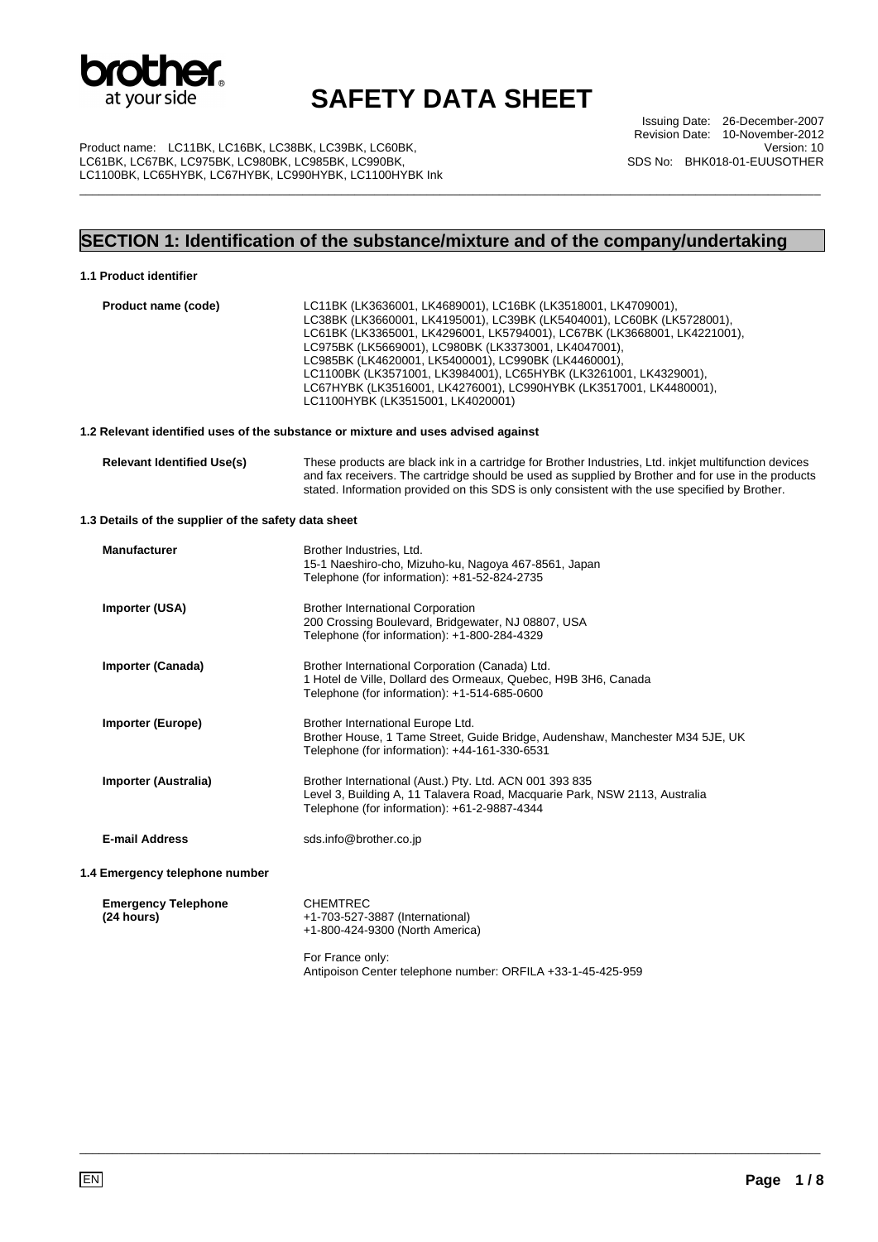

\_\_\_\_\_\_\_\_\_\_\_\_\_\_\_\_\_\_\_\_\_\_\_\_\_\_\_\_\_\_\_\_\_\_\_\_\_\_\_\_\_\_\_\_\_\_\_\_\_\_\_\_\_\_\_\_\_\_\_\_\_\_\_\_\_\_\_\_\_\_\_\_\_\_\_\_\_\_\_\_\_\_\_\_\_\_\_\_\_\_\_\_\_\_\_\_\_\_\_\_\_\_\_\_\_\_\_\_\_\_\_\_\_

Issuing Date: 26-December-2007 Revision Date: 10-November-2012 Version: 10 SDS No: BHK018-01-EUUSOTHER

Product name: LC11BK, LC16BK, LC38BK, LC39BK, LC60BK, LC61BK, LC67BK, LC975BK, LC980BK, LC985BK, LC990BK, LC1100BK, LC65HYBK, LC67HYBK, LC990HYBK, LC1100HYBK Ink

## **SECTION 1: Identification of the substance/mixture and of the company/undertaking**

#### **1.1 Product identifier**

| Product name (code)                                  | LC11BK (LK3636001, LK4689001), LC16BK (LK3518001, LK4709001),<br>LC38BK (LK3660001, LK4195001), LC39BK (LK5404001), LC60BK (LK5728001),<br>LC61BK (LK3365001, LK4296001, LK5794001), LC67BK (LK3668001, LK4221001),<br>LC975BK (LK5669001), LC980BK (LK3373001, LK4047001),<br>LC985BK (LK4620001, LK5400001), LC990BK (LK4460001),<br>LC1100BK (LK3571001, LK3984001), LC65HYBK (LK3261001, LK4329001),<br>LC67HYBK (LK3516001, LK4276001), LC990HYBK (LK3517001, LK4480001),<br>LC1100HYBK (LK3515001, LK4020001) |
|------------------------------------------------------|---------------------------------------------------------------------------------------------------------------------------------------------------------------------------------------------------------------------------------------------------------------------------------------------------------------------------------------------------------------------------------------------------------------------------------------------------------------------------------------------------------------------|
|                                                      | 1.2 Relevant identified uses of the substance or mixture and uses advised against                                                                                                                                                                                                                                                                                                                                                                                                                                   |
| <b>Relevant Identified Use(s)</b>                    | These products are black ink in a cartridge for Brother Industries, Ltd. inkjet multifunction devices<br>and fax receivers. The cartridge should be used as supplied by Brother and for use in the products<br>stated. Information provided on this SDS is only consistent with the use specified by Brother.                                                                                                                                                                                                       |
| 1.3 Details of the supplier of the safety data sheet |                                                                                                                                                                                                                                                                                                                                                                                                                                                                                                                     |
| <b>Manufacturer</b>                                  | Brother Industries, Ltd.<br>15-1 Naeshiro-cho, Mizuho-ku, Nagoya 467-8561, Japan<br>Telephone (for information): +81-52-824-2735                                                                                                                                                                                                                                                                                                                                                                                    |
| Importer (USA)                                       | <b>Brother International Corporation</b><br>200 Crossing Boulevard, Bridgewater, NJ 08807, USA<br>Telephone (for information): +1-800-284-4329                                                                                                                                                                                                                                                                                                                                                                      |
| Importer (Canada)                                    | Brother International Corporation (Canada) Ltd.<br>1 Hotel de Ville, Dollard des Ormeaux, Quebec, H9B 3H6, Canada<br>Telephone (for information): +1-514-685-0600                                                                                                                                                                                                                                                                                                                                                   |
| <b>Importer (Europe)</b>                             | Brother International Europe Ltd.<br>Brother House, 1 Tame Street, Guide Bridge, Audenshaw, Manchester M34 5JE, UK<br>Telephone (for information): +44-161-330-6531                                                                                                                                                                                                                                                                                                                                                 |
| Importer (Australia)                                 | Brother International (Aust.) Pty. Ltd. ACN 001 393 835<br>Level 3, Building A, 11 Talavera Road, Macquarie Park, NSW 2113, Australia<br>Telephone (for information): +61-2-9887-4344                                                                                                                                                                                                                                                                                                                               |
| <b>E-mail Address</b>                                | sds.info@brother.co.jp                                                                                                                                                                                                                                                                                                                                                                                                                                                                                              |
| 1.4 Emergency telephone number                       |                                                                                                                                                                                                                                                                                                                                                                                                                                                                                                                     |
| <b>Emergency Telephone</b><br>(24 hours)             | <b>CHEMTREC</b><br>+1-703-527-3887 (International)<br>+1-800-424-9300 (North America)                                                                                                                                                                                                                                                                                                                                                                                                                               |
|                                                      | For France only:<br>Antipoison Center telephone number: ORFILA +33-1-45-425-959                                                                                                                                                                                                                                                                                                                                                                                                                                     |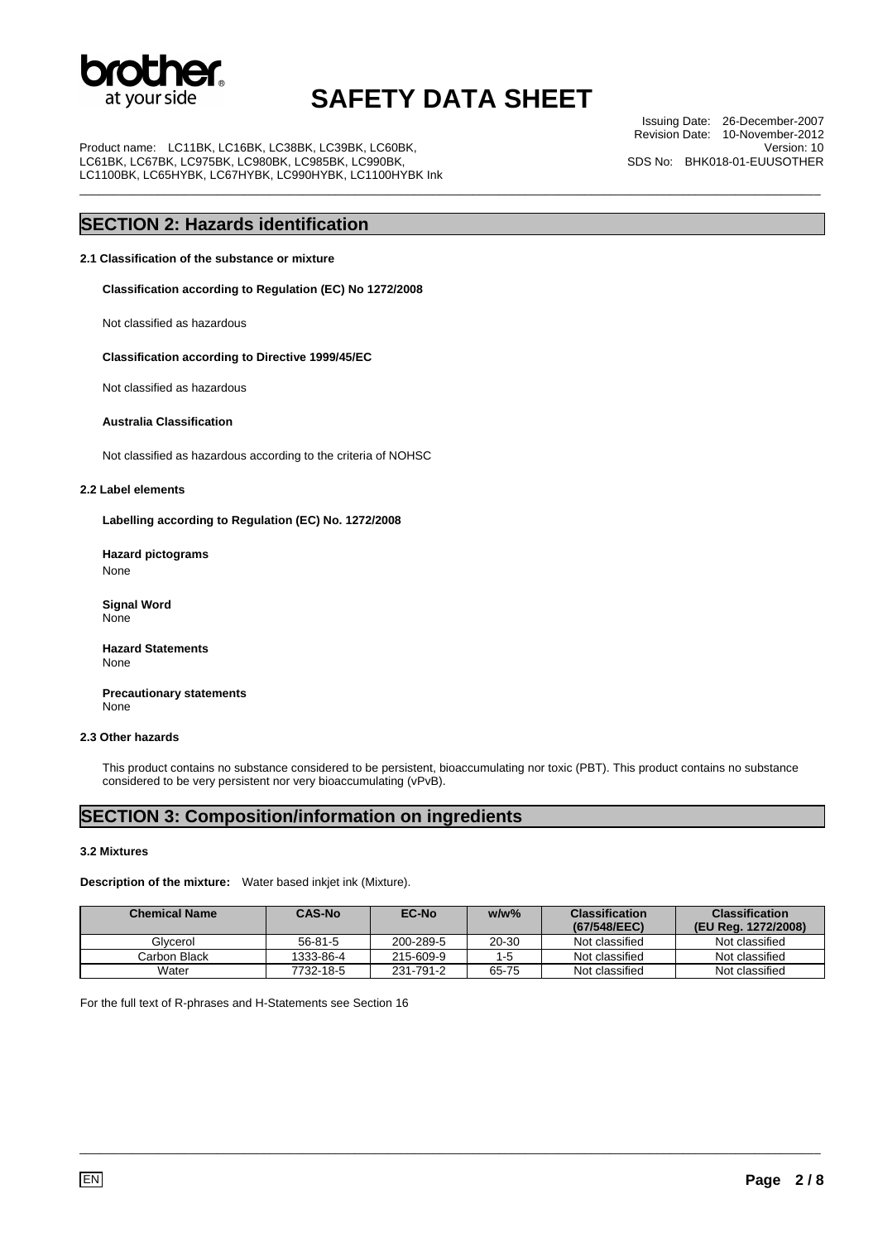

\_\_\_\_\_\_\_\_\_\_\_\_\_\_\_\_\_\_\_\_\_\_\_\_\_\_\_\_\_\_\_\_\_\_\_\_\_\_\_\_\_\_\_\_\_\_\_\_\_\_\_\_\_\_\_\_\_\_\_\_\_\_\_\_\_\_\_\_\_\_\_\_\_\_\_\_\_\_\_\_\_\_\_\_\_\_\_\_\_\_\_\_\_\_\_\_\_\_\_\_\_\_\_\_\_\_\_\_\_\_\_\_\_

Product name: LC11BK, LC16BK, LC38BK, LC39BK, LC60BK, LC61BK, LC67BK, LC975BK, LC980BK, LC985BK, LC990BK, LC1100BK, LC65HYBK, LC67HYBK, LC990HYBK, LC1100HYBK Ink

Issuing Date: 26-December-2007 Revision Date: 10-November-2012 Version: 10 SDS No: BHK018-01-EUUSOTHER

### **SECTION 2: Hazards identification**

#### **2.1 Classification of the substance or mixture**

**Classification according to Regulation (EC) No 1272/2008** 

Not classified as hazardous

#### **Classification according to Directive 1999/45/EC**

Not classified as hazardous

#### **Australia Classification**

Not classified as hazardous according to the criteria of NOHSC

#### **2.2 Label elements**

**Labelling according to Regulation (EC) No. 1272/2008** 

**Hazard pictograms**  None

 **Signal Word**  None

**Hazard Statements**  None

 **Precautionary statements**  None

#### **2.3 Other hazards**

This product contains no substance considered to be persistent, bioaccumulating nor toxic (PBT). This product contains no substance considered to be very persistent nor very bioaccumulating (vPvB).

### **SECTION 3: Composition/information on ingredients**

#### **3.2 Mixtures**

**Description of the mixture:** Water based inkjet ink (Mixture).

| <b>Chemical Name</b> | <b>CAS-No</b> | <b>EC-No</b> | $w/w\%$ | <b>Classification</b><br>(67/548/EEC) | <b>Classification</b><br>(EU Reg. 1272/2008) |
|----------------------|---------------|--------------|---------|---------------------------------------|----------------------------------------------|
| Glvcerol             | $56 - 81 - 5$ | 200-289-5    | 20-30   | Not classified                        | Not classified                               |
| Carbon Black         | 1333-86-4     | 215-609-9    | $1 - 5$ | Not classified                        | Not classified                               |
| Water                | 7732-18-5     | 231-791-2    | 65-75   | Not classified                        | Not classified                               |

\_\_\_\_\_\_\_\_\_\_\_\_\_\_\_\_\_\_\_\_\_\_\_\_\_\_\_\_\_\_\_\_\_\_\_\_\_\_\_\_\_\_\_\_\_\_\_\_\_\_\_\_\_\_\_\_\_\_\_\_\_\_\_\_\_\_\_\_\_\_\_\_\_\_\_\_\_\_\_\_\_\_\_\_\_\_\_\_\_\_\_\_\_\_\_\_\_\_\_\_\_\_\_\_\_\_\_\_\_\_\_\_\_

For the full text of R-phrases and H-Statements see Section 16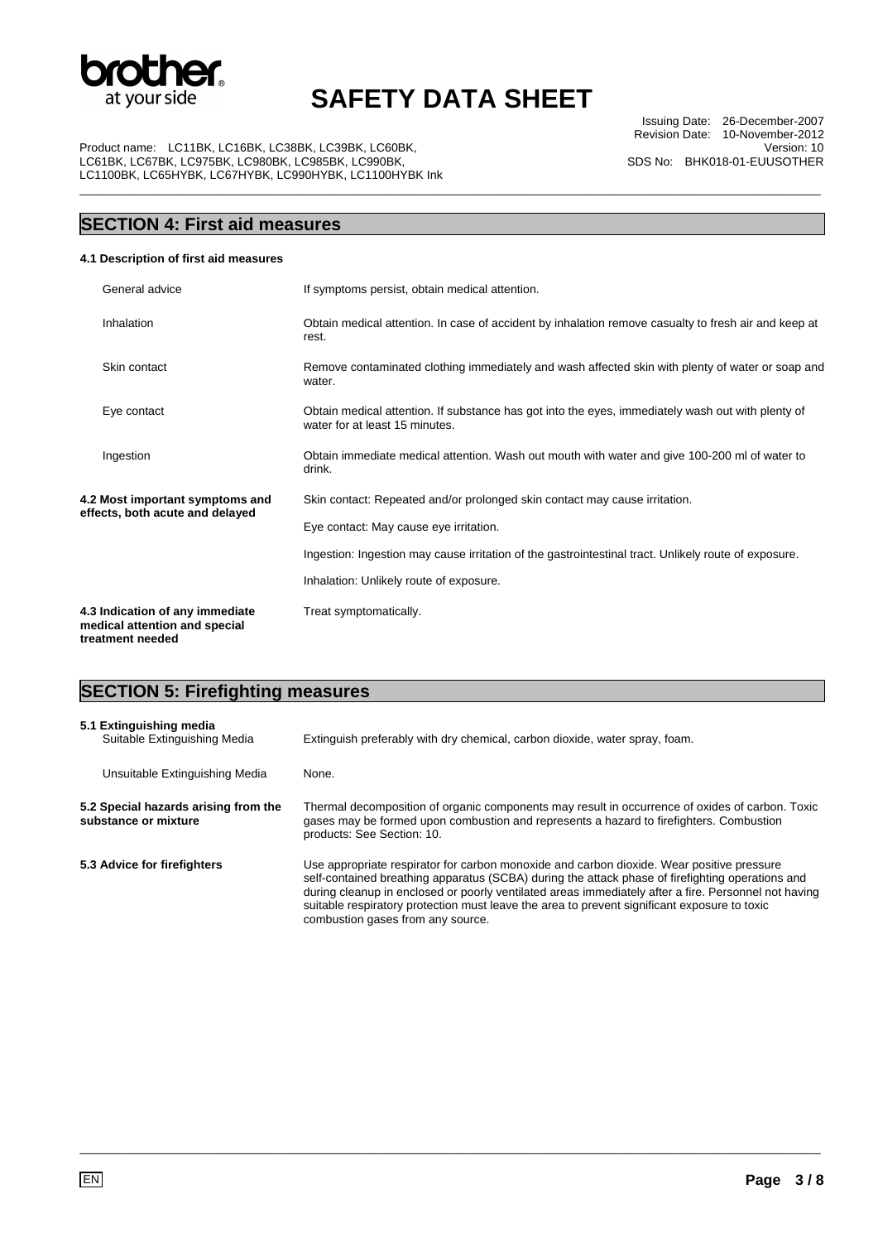

\_\_\_\_\_\_\_\_\_\_\_\_\_\_\_\_\_\_\_\_\_\_\_\_\_\_\_\_\_\_\_\_\_\_\_\_\_\_\_\_\_\_\_\_\_\_\_\_\_\_\_\_\_\_\_\_\_\_\_\_\_\_\_\_\_\_\_\_\_\_\_\_\_\_\_\_\_\_\_\_\_\_\_\_\_\_\_\_\_\_\_\_\_\_\_\_\_\_\_\_\_\_\_\_\_\_\_\_\_\_\_\_\_

Product name: LC11BK, LC16BK, LC38BK, LC39BK, LC60BK, LC61BK, LC67BK, LC975BK, LC980BK, LC985BK, LC990BK, LC1100BK, LC65HYBK, LC67HYBK, LC990HYBK, LC1100HYBK Ink

Issuing Date: 26-December-2007 Revision Date: 10-November-2012 Version: 10 SDS No: BHK018-01-EUUSOTHER

## **SECTION 4: First aid measures**

#### **4.1 Description of first aid measures**

| General advice                                                                       | If symptoms persist, obtain medical attention.                                                                                      |
|--------------------------------------------------------------------------------------|-------------------------------------------------------------------------------------------------------------------------------------|
| Inhalation                                                                           | Obtain medical attention. In case of accident by inhalation remove casualty to fresh air and keep at<br>rest.                       |
| Skin contact                                                                         | Remove contaminated clothing immediately and wash affected skin with plenty of water or soap and<br>water.                          |
| Eye contact                                                                          | Obtain medical attention. If substance has got into the eyes, immediately wash out with plenty of<br>water for at least 15 minutes. |
| Ingestion                                                                            | Obtain immediate medical attention. Wash out mouth with water and give 100-200 ml of water to<br>drink.                             |
| 4.2 Most important symptoms and<br>effects, both acute and delayed                   | Skin contact: Repeated and/or prolonged skin contact may cause irritation.                                                          |
|                                                                                      | Eye contact: May cause eye irritation.                                                                                              |
|                                                                                      | Ingestion: Ingestion may cause irritation of the gastrointestinal tract. Unlikely route of exposure.                                |
|                                                                                      | Inhalation: Unlikely route of exposure.                                                                                             |
| 4.3 Indication of any immediate<br>medical attention and special<br>treatment needed | Treat symptomatically.                                                                                                              |

## **SECTION 5: Firefighting measures**

| 5.1 Extinguishing media<br>Suitable Extinguishing Media      | Extinguish preferably with dry chemical, carbon dioxide, water spray, foam.                                                                                                                                                                                                                                                                                                                                                                |
|--------------------------------------------------------------|--------------------------------------------------------------------------------------------------------------------------------------------------------------------------------------------------------------------------------------------------------------------------------------------------------------------------------------------------------------------------------------------------------------------------------------------|
| Unsuitable Extinguishing Media                               | None.                                                                                                                                                                                                                                                                                                                                                                                                                                      |
| 5.2 Special hazards arising from the<br>substance or mixture | Thermal decomposition of organic components may result in occurrence of oxides of carbon. Toxic<br>gases may be formed upon combustion and represents a hazard to firefighters. Combustion<br>products: See Section: 10.                                                                                                                                                                                                                   |
| 5.3 Advice for firefighters                                  | Use appropriate respirator for carbon monoxide and carbon dioxide. Wear positive pressure<br>self-contained breathing apparatus (SCBA) during the attack phase of firefighting operations and<br>during cleanup in enclosed or poorly ventilated areas immediately after a fire. Personnel not having<br>suitable respiratory protection must leave the area to prevent significant exposure to toxic<br>combustion gases from any source. |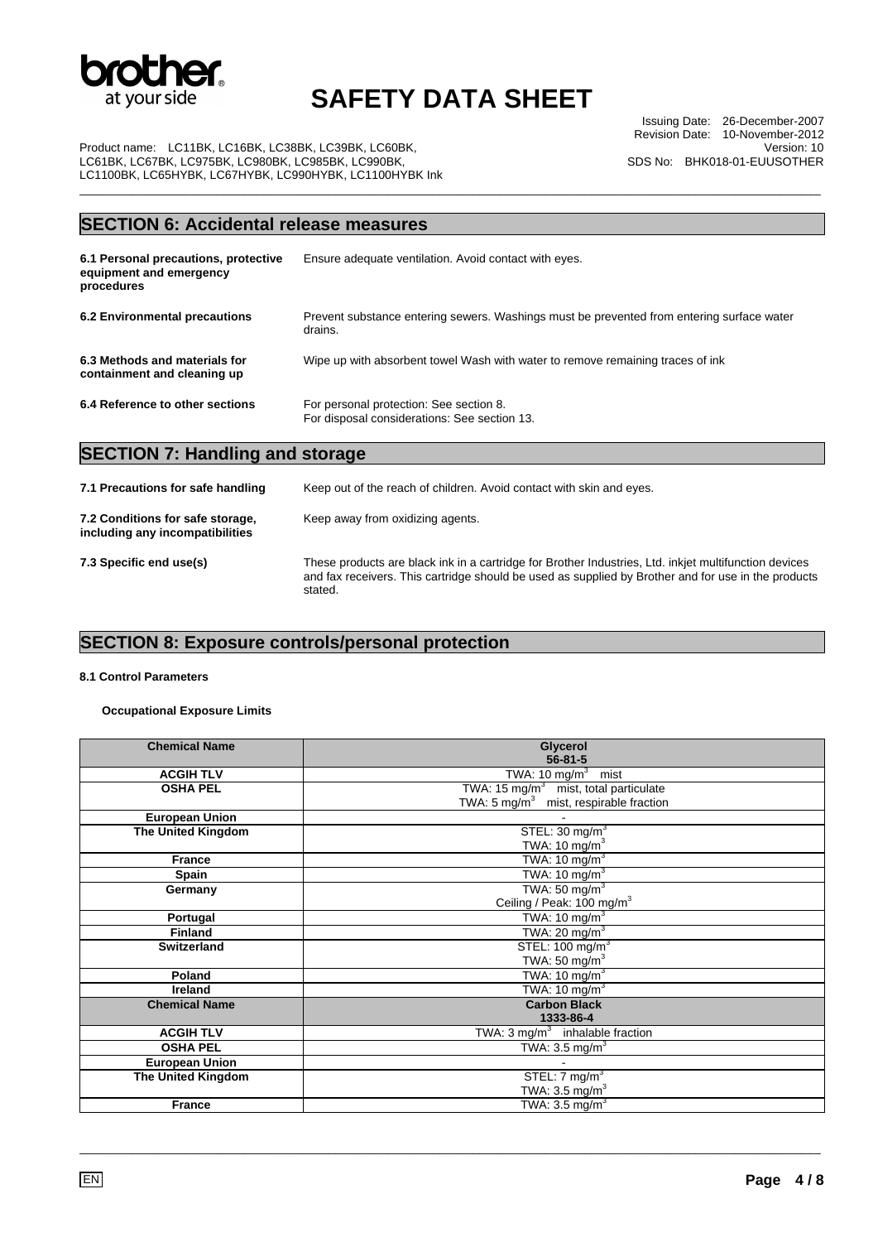

\_\_\_\_\_\_\_\_\_\_\_\_\_\_\_\_\_\_\_\_\_\_\_\_\_\_\_\_\_\_\_\_\_\_\_\_\_\_\_\_\_\_\_\_\_\_\_\_\_\_\_\_\_\_\_\_\_\_\_\_\_\_\_\_\_\_\_\_\_\_\_\_\_\_\_\_\_\_\_\_\_\_\_\_\_\_\_\_\_\_\_\_\_\_\_\_\_\_\_\_\_\_\_\_\_\_\_\_\_\_\_\_\_

Issuing Date: 26-December-2007 Revision Date: 10-November-2012 Version: 10 SDS No: BHK018-01-EUUSOTHER

Product name: LC11BK, LC16BK, LC38BK, LC39BK, LC60BK, LC61BK, LC67BK, LC975BK, LC980BK, LC985BK, LC990BK, LC1100BK, LC65HYBK, LC67HYBK, LC990HYBK, LC1100HYBK Ink

### **SECTION 6: Accidental release measures**

| 6.1 Personal precautions, protective<br>equipment and emergency<br>procedures | Ensure adequate ventilation. Avoid contact with eyes.                                                |
|-------------------------------------------------------------------------------|------------------------------------------------------------------------------------------------------|
| 6.2 Environmental precautions                                                 | Prevent substance entering sewers. Washings must be prevented from entering surface water<br>drains. |
| 6.3 Methods and materials for<br>containment and cleaning up                  | Wipe up with absorbent towel Wash with water to remove remaining traces of ink                       |
| 6.4 Reference to other sections                                               | For personal protection: See section 8.<br>For disposal considerations: See section 13.              |

### **SECTION 7: Handling and storage**

| 7.1 Precautions for safe handling                                   | Keep out of the reach of children. Avoid contact with skin and eyes.                                                                                                                                                    |
|---------------------------------------------------------------------|-------------------------------------------------------------------------------------------------------------------------------------------------------------------------------------------------------------------------|
| 7.2 Conditions for safe storage,<br>including any incompatibilities | Keep away from oxidizing agents.                                                                                                                                                                                        |
| 7.3 Specific end use(s)                                             | These products are black ink in a cartridge for Brother Industries, Ltd. inkjet multifunction devices<br>and fax receivers. This cartridge should be used as supplied by Brother and for use in the products<br>stated. |

## **SECTION 8: Exposure controls/personal protection**

#### **8.1 Control Parameters**

**Occupational Exposure Limits** 

| <b>Chemical Name</b>      | Glycerol<br>$56 - 81 - 5$                         |
|---------------------------|---------------------------------------------------|
| <b>ACGIH TLV</b>          |                                                   |
|                           | TWA: $10 \text{ mg/m}^3$ mist                     |
| <b>OSHA PEL</b>           | TWA: 15 mg/m <sup>3</sup> mist, total particulate |
|                           | TWA: $5 \text{ mg/m}^3$ mist, respirable fraction |
| <b>European Union</b>     |                                                   |
| <b>The United Kingdom</b> | STEL: $30 \text{ mg/m}^3$                         |
|                           | TWA: 10 $mg/m3$                                   |
| <b>France</b>             | TWA: 10 mg/m $3$                                  |
| <b>Spain</b>              | TWA: 10 mg/m $3$                                  |
| Germany                   | TWA: $50 \text{ mg/m}^3$                          |
|                           | Ceiling / Peak: 100 mg/m <sup>3</sup>             |
| Portugal                  | TWA: $10 \text{ mg/m}^3$                          |
| <b>Finland</b>            | TWA: 20 mg/m $3$                                  |
| <b>Switzerland</b>        | STEL: $100 \text{ mg/m}^3$                        |
|                           | TWA: 50 mg/ $m3$                                  |
| Poland                    | TWA: $10 \text{ mg/m}^3$                          |
| <b>Ireland</b>            | TWA: 10 mg/m $3$                                  |
| <b>Chemical Name</b>      | <b>Carbon Black</b>                               |
|                           | 1333-86-4                                         |
| <b>ACGIH TLV</b>          | TWA: $3 \text{ mg/m}^3$ inhalable fraction        |
| <b>OSHA PEL</b>           | TWA: $3.5 \text{ mg/m}^3$                         |
| <b>European Union</b>     |                                                   |
| <b>The United Kingdom</b> | STEL: $7 \text{ mg/m}^3$                          |
|                           | TWA: $3.5 \text{ mg/m}^3$                         |
| <b>France</b>             | TWA: $3.5 \text{ mg/m}^3$                         |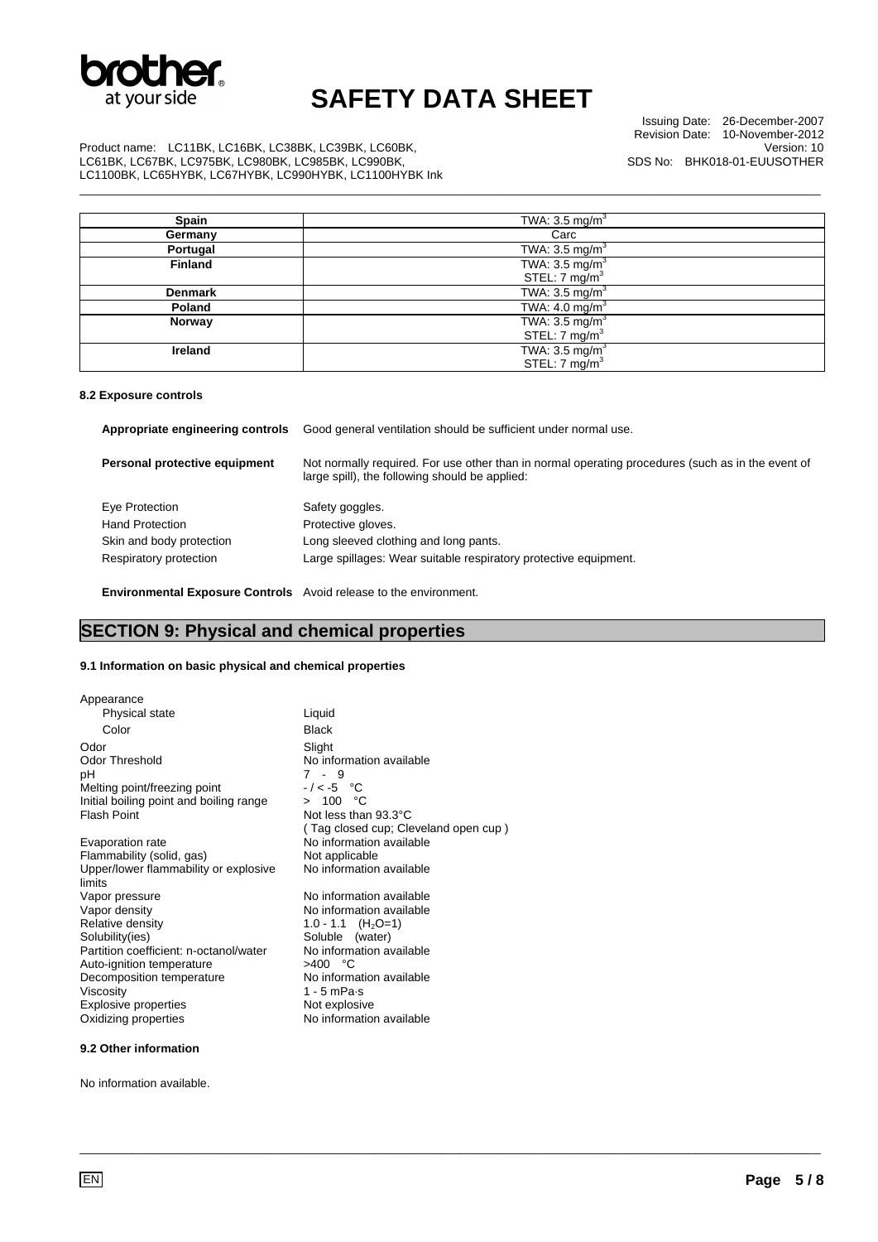

\_\_\_\_\_\_\_\_\_\_\_\_\_\_\_\_\_\_\_\_\_\_\_\_\_\_\_\_\_\_\_\_\_\_\_\_\_\_\_\_\_\_\_\_\_\_\_\_\_\_\_\_\_\_\_\_\_\_\_\_\_\_\_\_\_\_\_\_\_\_\_\_\_\_\_\_\_\_\_\_\_\_\_\_\_\_\_\_\_\_\_\_\_\_\_\_\_\_\_\_\_\_\_\_\_\_\_\_\_\_\_\_\_

Issuing Date: 26-December-2007 Revision Date: 10-November-2012 Version: 10 SDS No: BHK018-01-EUUSOTHER

Product name: LC11BK, LC16BK, LC38BK, LC39BK, LC60BK, LC61BK, LC67BK, LC975BK, LC980BK, LC985BK, LC990BK, LC1100BK, LC65HYBK, LC67HYBK, LC990HYBK, LC1100HYBK Ink

| Spain          | TWA: $3.5 \text{ mg/m}^3$ |
|----------------|---------------------------|
| Germany        | Carc                      |
| Portugal       | TWA: $3.5 \text{ mg/m}^3$ |
| <b>Finland</b> | TWA: $3.5 \text{ mg/m}^3$ |
|                | STEL: 7 mg/m <sup>3</sup> |
| <b>Denmark</b> | TWA: $3.5 \text{ mg/m}^3$ |
| Poland         | TWA: $4.0 \text{ mg/m}^3$ |
| Norway         | TWA: $3.5 \text{ mg/m}^3$ |
|                | STEL: $7 \text{ mg/m}^3$  |
| Ireland        | TWA: $3.5 \text{ mg/m}^3$ |
|                | STEL: $7 \text{ mg/m}^3$  |

#### **8.2 Exposure controls**

| Appropriate engineering controls | Good general ventilation should be sufficient under normal use.                                                                                     |
|----------------------------------|-----------------------------------------------------------------------------------------------------------------------------------------------------|
| Personal protective equipment    | Not normally required. For use other than in normal operating procedures (such as in the event of<br>large spill), the following should be applied: |
| Eye Protection                   | Safety goggles.                                                                                                                                     |
| <b>Hand Protection</b>           | Protective gloves.                                                                                                                                  |
| Skin and body protection         | Long sleeved clothing and long pants.                                                                                                               |
| Respiratory protection           | Large spillages: Wear suitable respiratory protective equipment.                                                                                    |

\_\_\_\_\_\_\_\_\_\_\_\_\_\_\_\_\_\_\_\_\_\_\_\_\_\_\_\_\_\_\_\_\_\_\_\_\_\_\_\_\_\_\_\_\_\_\_\_\_\_\_\_\_\_\_\_\_\_\_\_\_\_\_\_\_\_\_\_\_\_\_\_\_\_\_\_\_\_\_\_\_\_\_\_\_\_\_\_\_\_\_\_\_\_\_\_\_\_\_\_\_\_\_\_\_\_\_\_\_\_\_\_\_

 **Environmental Exposure Controls** Avoid release to the environment.

### **SECTION 9: Physical and chemical properties**

#### **9.1 Information on basic physical and chemical properties**

| Appearance                                      |                                      |
|-------------------------------------------------|--------------------------------------|
| Physical state                                  | Liquid                               |
| Color                                           | Black                                |
| Odor                                            | Slight                               |
| <b>Odor Threshold</b>                           | No information available             |
| рH                                              | $7 - 9$                              |
| Melting point/freezing point                    | $-/-5$ °C                            |
| Initial boiling point and boiling range         | > 100 °C                             |
| <b>Flash Point</b>                              | Not less than 93.3°C                 |
|                                                 | (Tag closed cup; Cleveland open cup) |
| Evaporation rate                                | No information available             |
| Flammability (solid, gas)                       | Not applicable                       |
| Upper/lower flammability or explosive<br>limits | No information available             |
| Vapor pressure                                  | No information available             |
| Vapor density                                   | No information available             |
| Relative density                                | 1.0 - 1.1 $(H_2O=1)$                 |
| Solubility(ies)                                 | Soluble (water)                      |
| Partition coefficient: n-octanol/water          | No information available             |
| Auto-ignition temperature                       | $>400$ °C                            |
| Decomposition temperature                       | No information available             |
| Viscosity                                       | $1 - 5$ mPa $\cdot$ s                |
| <b>Explosive properties</b>                     | Not explosive                        |
| Oxidizing properties                            | No information available             |
|                                                 |                                      |

#### **9.2 Other information**

No information available.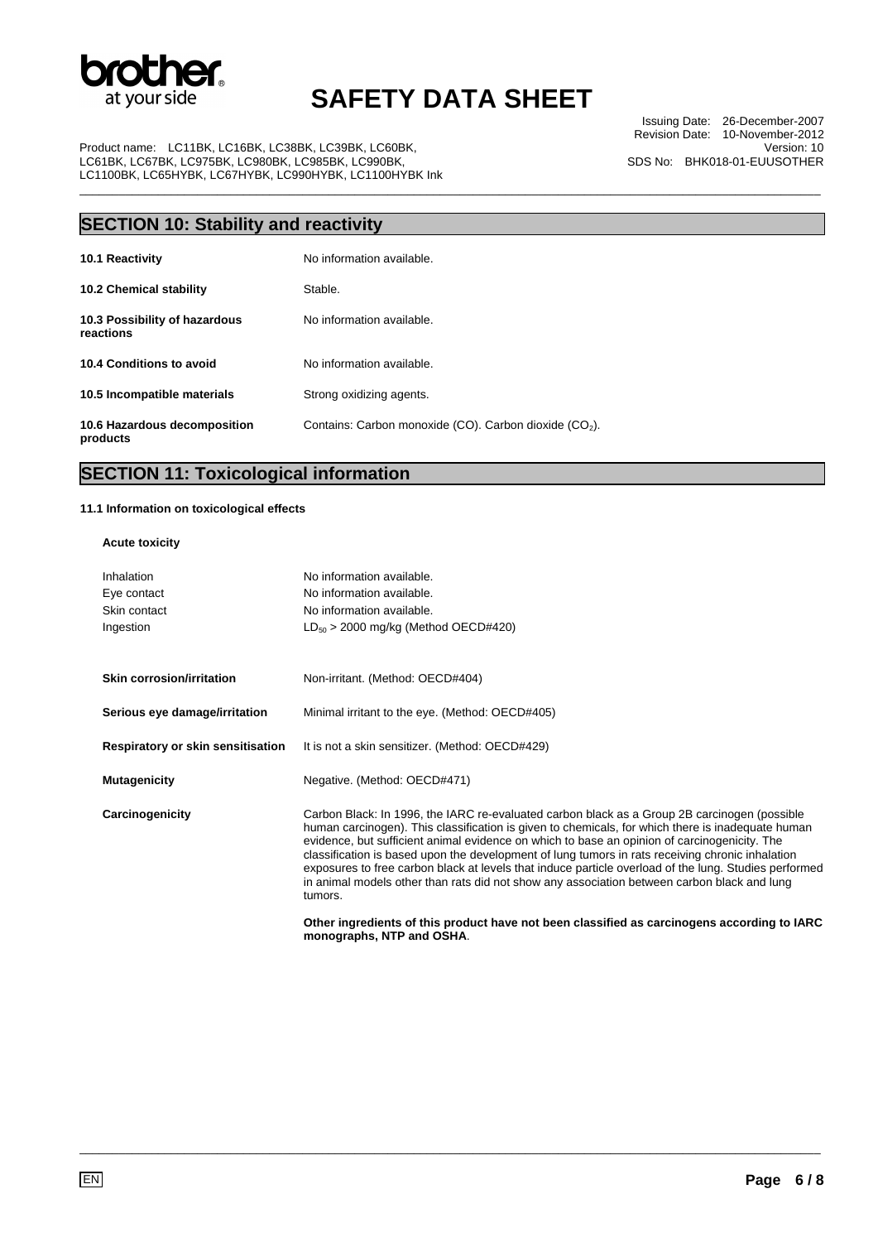

\_\_\_\_\_\_\_\_\_\_\_\_\_\_\_\_\_\_\_\_\_\_\_\_\_\_\_\_\_\_\_\_\_\_\_\_\_\_\_\_\_\_\_\_\_\_\_\_\_\_\_\_\_\_\_\_\_\_\_\_\_\_\_\_\_\_\_\_\_\_\_\_\_\_\_\_\_\_\_\_\_\_\_\_\_\_\_\_\_\_\_\_\_\_\_\_\_\_\_\_\_\_\_\_\_\_\_\_\_\_\_\_\_

Product name: LC11BK, LC16BK, LC38BK, LC39BK, LC60BK, LC61BK, LC67BK, LC975BK, LC980BK, LC985BK, LC990BK, LC1100BK, LC65HYBK, LC67HYBK, LC990HYBK, LC1100HYBK Ink

Issuing Date: 26-December-2007 Revision Date: 10-November-2012 Version: 10 SDS No: BHK018-01-EUUSOTHER

## **SECTION 10: Stability and reactivity**

| 10.1 Reactivity                            | No information available.                                          |
|--------------------------------------------|--------------------------------------------------------------------|
| <b>10.2 Chemical stability</b>             | Stable.                                                            |
| 10.3 Possibility of hazardous<br>reactions | No information available.                                          |
| 10.4 Conditions to avoid                   | No information available.                                          |
| 10.5 Incompatible materials                | Strong oxidizing agents.                                           |
| 10.6 Hazardous decomposition<br>products   | Contains: Carbon monoxide (CO). Carbon dioxide (CO <sub>2</sub> ). |

## **SECTION 11: Toxicological information**

#### **11.1 Information on toxicological effects**

### **Acute toxicity**

| Inhalation<br>Eye contact<br>Skin contact<br>Ingestion | No information available.<br>No information available.<br>No information available.<br>$LD_{50}$ > 2000 mg/kg (Method OECD#420)                                                                                                                                                                                                                                                                                                                                                                                                                                                                                          |
|--------------------------------------------------------|--------------------------------------------------------------------------------------------------------------------------------------------------------------------------------------------------------------------------------------------------------------------------------------------------------------------------------------------------------------------------------------------------------------------------------------------------------------------------------------------------------------------------------------------------------------------------------------------------------------------------|
| Skin corrosion/irritation                              | Non-irritant. (Method: OECD#404)                                                                                                                                                                                                                                                                                                                                                                                                                                                                                                                                                                                         |
| Serious eye damage/irritation                          | Minimal irritant to the eye. (Method: OECD#405)                                                                                                                                                                                                                                                                                                                                                                                                                                                                                                                                                                          |
| Respiratory or skin sensitisation                      | It is not a skin sensitizer. (Method: OECD#429)                                                                                                                                                                                                                                                                                                                                                                                                                                                                                                                                                                          |
| <b>Mutagenicity</b>                                    | Negative. (Method: OECD#471)                                                                                                                                                                                                                                                                                                                                                                                                                                                                                                                                                                                             |
| Carcinogenicity                                        | Carbon Black: In 1996, the IARC re-evaluated carbon black as a Group 2B carcinogen (possible<br>human carcinogen). This classification is given to chemicals, for which there is inadequate human<br>evidence, but sufficient animal evidence on which to base an opinion of carcinogenicity. The<br>classification is based upon the development of lung tumors in rats receiving chronic inhalation<br>exposures to free carbon black at levels that induce particle overload of the lung. Studies performed<br>in animal models other than rats did not show any association between carbon black and lung<br>tumors. |
|                                                        | Other ingredients of this product have not been classified as carcinogens according to IARC                                                                                                                                                                                                                                                                                                                                                                                                                                                                                                                              |

\_\_\_\_\_\_\_\_\_\_\_\_\_\_\_\_\_\_\_\_\_\_\_\_\_\_\_\_\_\_\_\_\_\_\_\_\_\_\_\_\_\_\_\_\_\_\_\_\_\_\_\_\_\_\_\_\_\_\_\_\_\_\_\_\_\_\_\_\_\_\_\_\_\_\_\_\_\_\_\_\_\_\_\_\_\_\_\_\_\_\_\_\_\_\_\_\_\_\_\_\_\_\_\_\_\_\_\_\_\_\_\_\_

**monographs, NTP and OSHA**.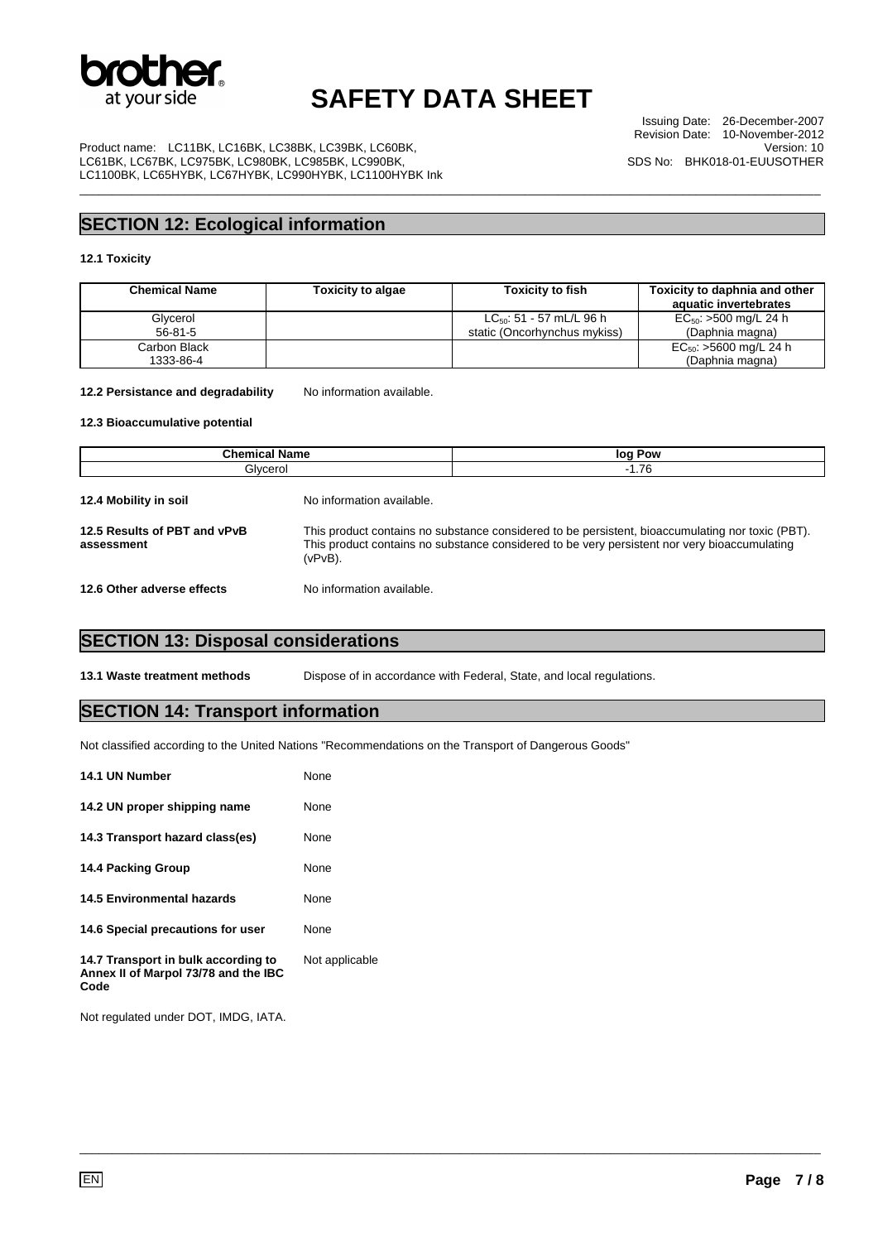

\_\_\_\_\_\_\_\_\_\_\_\_\_\_\_\_\_\_\_\_\_\_\_\_\_\_\_\_\_\_\_\_\_\_\_\_\_\_\_\_\_\_\_\_\_\_\_\_\_\_\_\_\_\_\_\_\_\_\_\_\_\_\_\_\_\_\_\_\_\_\_\_\_\_\_\_\_\_\_\_\_\_\_\_\_\_\_\_\_\_\_\_\_\_\_\_\_\_\_\_\_\_\_\_\_\_\_\_\_\_\_\_\_

Issuing Date: 26-December-2007 Revision Date: 10-November-2012 Version: 10 SDS No: BHK018-01-EUUSOTHER

Product name: LC11BK, LC16BK, LC38BK, LC39BK, LC60BK, LC61BK, LC67BK, LC975BK, LC980BK, LC985BK, LC990BK, LC1100BK, LC65HYBK, LC67HYBK, LC990HYBK, LC1100HYBK Ink

### **SECTION 12: Ecological information**

#### **12.1 Toxicity**

| <b>Chemical Name</b>      | <b>Toxicity to algae</b> | <b>Toxicity to fish</b>                                       | Toxicity to daphnia and other<br>aquatic invertebrates |
|---------------------------|--------------------------|---------------------------------------------------------------|--------------------------------------------------------|
| Glycerol<br>$56 - 81 - 5$ |                          | $LC_{50}$ : 51 - 57 mL/L 96 h<br>static (Oncorhynchus mykiss) | $EC_{50}$ : >500 mg/L 24 h<br>(Daphnia magna)          |
| Carbon Black<br>1333-86-4 |                          |                                                               | $EC_{50}$ : >5600 mg/L 24 h<br>(Daphnia magna)         |

12.2 Persistance and degradability No information available.

#### **12.3 Bioaccumulative potential**

| <b>Chemical Name</b>                       |                           | log Pow                                                                                                                                                                                          |  |
|--------------------------------------------|---------------------------|--------------------------------------------------------------------------------------------------------------------------------------------------------------------------------------------------|--|
| Glycerol                                   |                           | $-1.76$                                                                                                                                                                                          |  |
| 12.4 Mobility in soil                      | No information available. |                                                                                                                                                                                                  |  |
| 12.5 Results of PBT and vPvB<br>assessment | $(vPvB)$ .                | This product contains no substance considered to be persistent, bioaccumulating nor toxic (PBT).<br>This product contains no substance considered to be very persistent nor very bioaccumulating |  |
| 12.6 Other adverse effects                 | No information available. |                                                                                                                                                                                                  |  |

### **SECTION 13: Disposal considerations**

**13.1 Waste treatment methods** Dispose of in accordance with Federal, State, and local regulations.

\_\_\_\_\_\_\_\_\_\_\_\_\_\_\_\_\_\_\_\_\_\_\_\_\_\_\_\_\_\_\_\_\_\_\_\_\_\_\_\_\_\_\_\_\_\_\_\_\_\_\_\_\_\_\_\_\_\_\_\_\_\_\_\_\_\_\_\_\_\_\_\_\_\_\_\_\_\_\_\_\_\_\_\_\_\_\_\_\_\_\_\_\_\_\_\_\_\_\_\_\_\_\_\_\_\_\_\_\_\_\_\_\_

### **SECTION 14: Transport information**

Not classified according to the United Nations "Recommendations on the Transport of Dangerous Goods"

| 14.1 UN Number                                                                      | None           |
|-------------------------------------------------------------------------------------|----------------|
| 14.2 UN proper shipping name                                                        | None           |
| 14.3 Transport hazard class(es)                                                     | None           |
| 14.4 Packing Group                                                                  | None           |
| <b>14.5 Environmental hazards</b>                                                   | None           |
| 14.6 Special precautions for user                                                   | None           |
| 14.7 Transport in bulk according to<br>Annex II of Marpol 73/78 and the IBC<br>Code | Not applicable |

Not regulated under DOT, IMDG, IATA.